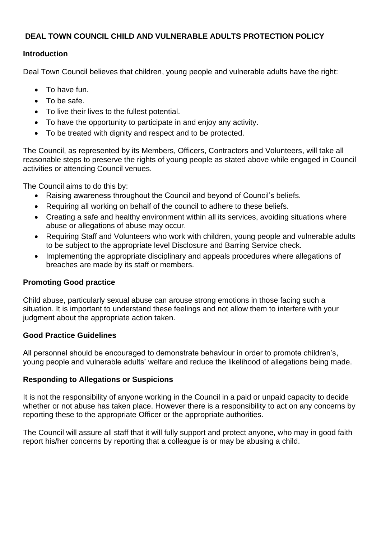# **DEAL TOWN COUNCIL CHILD AND VULNERABLE ADULTS PROTECTION POLICY**

#### **Introduction**

Deal Town Council believes that children, young people and vulnerable adults have the right:

- To have fun.
- To be safe.
- To live their lives to the fullest potential.
- To have the opportunity to participate in and enjoy any activity.
- To be treated with dignity and respect and to be protected.

The Council, as represented by its Members, Officers, Contractors and Volunteers, will take all reasonable steps to preserve the rights of young people as stated above while engaged in Council activities or attending Council venues.

The Council aims to do this by:

- Raising awareness throughout the Council and beyond of Council's beliefs.
- Requiring all working on behalf of the council to adhere to these beliefs.
- Creating a safe and healthy environment within all its services, avoiding situations where abuse or allegations of abuse may occur.
- Requiring Staff and Volunteers who work with children, young people and vulnerable adults to be subject to the appropriate level Disclosure and Barring Service check.
- Implementing the appropriate disciplinary and appeals procedures where allegations of breaches are made by its staff or members.

## **Promoting Good practice**

Child abuse, particularly sexual abuse can arouse strong emotions in those facing such a situation. It is important to understand these feelings and not allow them to interfere with your judgment about the appropriate action taken.

## **Good Practice Guidelines**

All personnel should be encouraged to demonstrate behaviour in order to promote children's, young people and vulnerable adults' welfare and reduce the likelihood of allegations being made.

## **Responding to Allegations or Suspicions**

It is not the responsibility of anyone working in the Council in a paid or unpaid capacity to decide whether or not abuse has taken place. However there is a responsibility to act on any concerns by reporting these to the appropriate Officer or the appropriate authorities.

The Council will assure all staff that it will fully support and protect anyone, who may in good faith report his/her concerns by reporting that a colleague is or may be abusing a child.